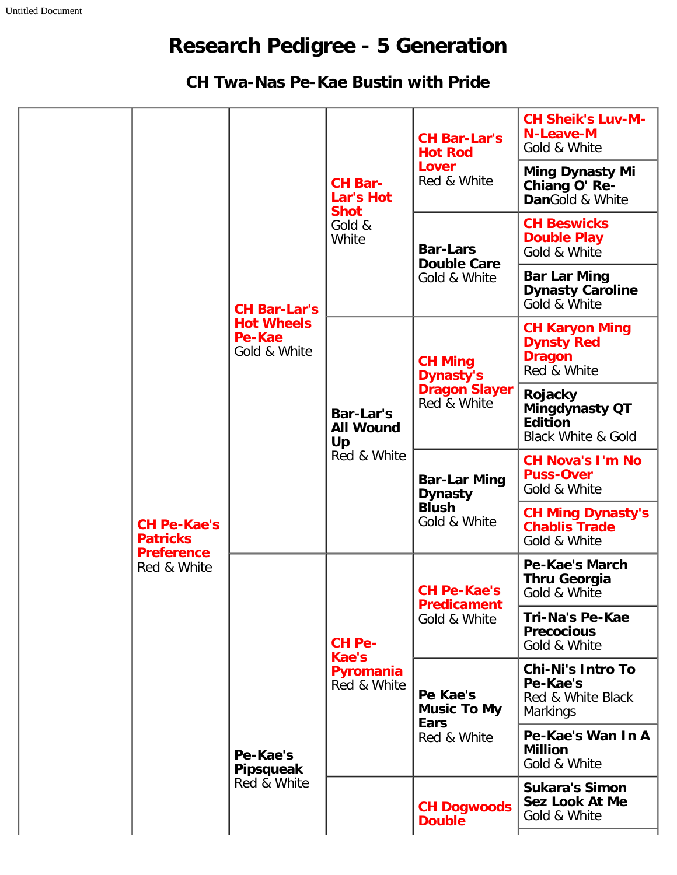## **Research Pedigree - 5 Generation**

## **CH Twa-Nas Pe-Kae Bustin with Pride**

|  |                                                            | <b>CH Bar-Lar's</b><br><b>Hot Wheels</b><br>Pe-Kae<br>Gold & White | <b>CH Bar-</b><br>Lar's Hot<br><b>Shot</b><br>Gold &<br>White | <b>CH Bar-Lar's</b><br><b>Hot Rod</b><br><b>Lover</b><br>Red & White      | <b>CH Sheik's Luv-M-</b><br><b>N-Leave-M</b><br>Gold & White                        |
|--|------------------------------------------------------------|--------------------------------------------------------------------|---------------------------------------------------------------|---------------------------------------------------------------------------|-------------------------------------------------------------------------------------|
|  |                                                            |                                                                    |                                                               |                                                                           | <b>Ming Dynasty Mi</b><br>Chiang O' Re-<br>DanGold & White                          |
|  |                                                            |                                                                    |                                                               | <b>Bar-Lars</b><br><b>Double Care</b><br>Gold & White                     | <b>CH Beswicks</b><br><b>Double Play</b><br>Gold & White                            |
|  |                                                            |                                                                    |                                                               |                                                                           | <b>Bar Lar Ming</b><br><b>Dynasty Caroline</b><br>Gold & White                      |
|  |                                                            |                                                                    | Bar-Lar's<br><b>All Wound</b><br>Up<br>Red & White            | <b>CH Ming</b><br><b>Dynasty's</b><br><b>Dragon Slayer</b><br>Red & White | <b>CH Karyon Ming</b><br><b>Dynsty Red</b><br><b>Dragon</b><br>Red & White          |
|  |                                                            |                                                                    |                                                               |                                                                           | Rojacky<br><b>Mingdynasty QT</b><br><b>Edition</b><br><b>Black White &amp; Gold</b> |
|  |                                                            |                                                                    |                                                               | <b>Bar-Lar Ming</b><br><b>Dynasty</b><br><b>Blush</b><br>Gold & White     | <b>CH Nova's I'm No</b><br><b>Puss-Over</b><br>Gold & White                         |
|  | <b>CH Pe-Kae's</b><br><b>Patricks</b><br><b>Preference</b> |                                                                    |                                                               |                                                                           | <b>CH Ming Dynasty's</b><br><b>Chablis Trade</b><br>Gold & White                    |
|  | Red & White                                                | Pe-Kae's<br><b>Pipsqueak</b><br>Red & White                        | CH Pe-<br>Kae's<br>Pyromania<br>Red & White                   | <b>CH Pe-Kae's</b><br><b>Predicament</b><br>Gold & White                  | Pe-Kae's March<br><b>Thru Georgia</b><br>Gold & White                               |
|  |                                                            |                                                                    |                                                               |                                                                           | <b>Tri-Na's Pe-Kae</b><br><b>Precocious</b><br>Gold & White                         |
|  |                                                            |                                                                    |                                                               | Pe Kae's<br><b>Music To My</b><br><b>Ears</b><br>Red & White              | <b>Chi-Ni's Intro To</b><br>Pe-Kae's<br>Red & White Black<br><b>Markings</b>        |
|  |                                                            |                                                                    |                                                               |                                                                           | Pe-Kae's Wan In A<br><b>Million</b><br>Gold & White                                 |
|  |                                                            |                                                                    |                                                               | <b>CH Dogwoods</b><br><b>Double</b>                                       | <b>Sukara's Simon</b><br>Sez Look At Me<br>Gold & White                             |
|  |                                                            |                                                                    |                                                               |                                                                           |                                                                                     |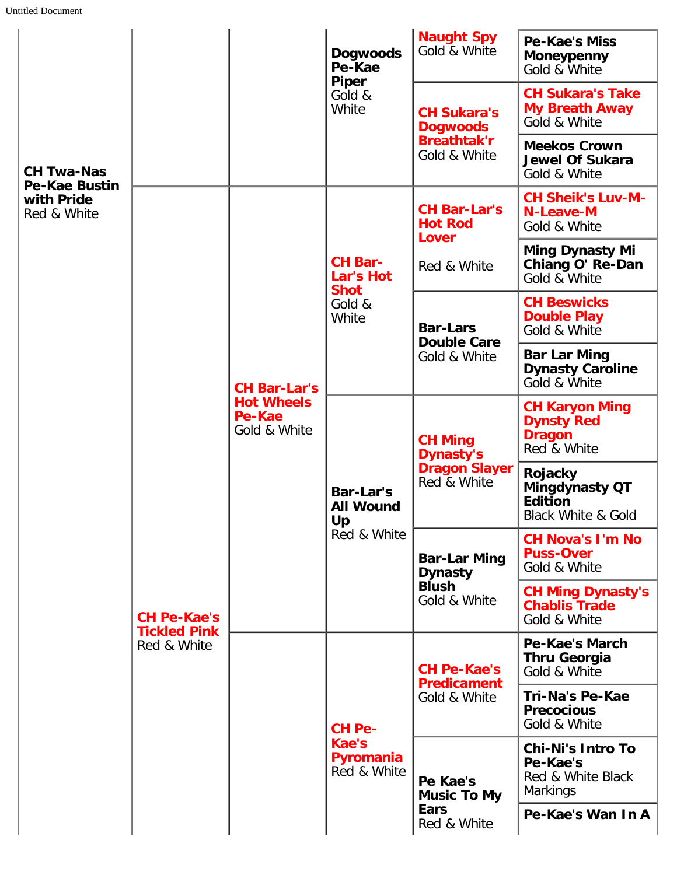| <b>CH Twa-Nas</b><br><b>Pe-Kae Bustin</b><br>with Pride<br>Red & White |                                                          |                                                                    | <b>Dogwoods</b><br>Pe-Kae<br><b>Piper</b><br>Gold &<br>White  | <b>Naught Spy</b><br>Gold & White                                           | <b>Pe-Kae's Miss</b><br><b>Moneypenny</b><br>Gold & White                    |
|------------------------------------------------------------------------|----------------------------------------------------------|--------------------------------------------------------------------|---------------------------------------------------------------|-----------------------------------------------------------------------------|------------------------------------------------------------------------------|
|                                                                        |                                                          |                                                                    |                                                               | <b>CH Sukara's</b><br><b>Dogwoods</b><br><b>Breathtak'r</b><br>Gold & White | <b>CH Sukara's Take</b><br><b>My Breath Away</b><br>Gold & White             |
|                                                                        |                                                          |                                                                    |                                                               |                                                                             | <b>Meekos Crown</b><br><b>Jewel Of Sukara</b><br>Gold & White                |
|                                                                        | <b>CH Pe-Kae's</b><br><b>Tickled Pink</b><br>Red & White | <b>CH Bar-Lar's</b><br><b>Hot Wheels</b><br>Pe-Kae<br>Gold & White | <b>CH Bar-</b><br>Lar's Hot<br><b>Shot</b><br>Gold &<br>White | <b>CH Bar-Lar's</b><br><b>Hot Rod</b><br>Lover<br>Red & White               | <b>CH Sheik's Luv-M-</b><br><b>N-Leave-M</b><br>Gold & White                 |
|                                                                        |                                                          |                                                                    |                                                               |                                                                             | <b>Ming Dynasty Mi</b><br>Chiang O' Re-Dan<br>Gold & White                   |
|                                                                        |                                                          |                                                                    |                                                               | <b>Bar-Lars</b><br><b>Double Care</b><br>Gold & White                       | <b>CH Beswicks</b><br><b>Double Play</b><br>Gold & White                     |
|                                                                        |                                                          |                                                                    |                                                               |                                                                             | <b>Bar Lar Ming</b><br><b>Dynasty Caroline</b><br>Gold & White               |
|                                                                        |                                                          |                                                                    | <b>Bar-Lar's</b><br><b>All Wound</b><br>Up<br>Red & White     | <b>CH Ming</b><br><b>Dynasty's</b><br><b>Dragon Slayer</b><br>Red & White   | <b>CH Karyon Ming</b><br><b>Dynsty Red</b><br><b>Dragon</b><br>Red & White   |
|                                                                        |                                                          |                                                                    |                                                               |                                                                             | Rojacky<br>Mingdynasty QT<br><b>Edition</b><br><b>Black White &amp; Gold</b> |
|                                                                        |                                                          |                                                                    |                                                               | <b>Bar-Lar Ming</b><br><b>Dynasty</b><br><b>Blush</b><br>Gold & White       | <b>CH Nova's I'm No</b><br><b>Puss-Over</b><br>Gold & White                  |
|                                                                        |                                                          |                                                                    |                                                               |                                                                             | <b>CH Ming Dynasty's</b><br><b>Chablis Trade</b><br>Gold & White             |
|                                                                        |                                                          |                                                                    | <b>CH Pe-</b><br>Kae's<br>Pyromania<br>Red & White            | <b>CH Pe-Kae's</b><br><b>Predicament</b><br>Gold & White                    | <b>Pe-Kae's March</b><br><b>Thru Georgia</b><br>Gold & White                 |
|                                                                        |                                                          |                                                                    |                                                               |                                                                             | Tri-Na's Pe-Kae<br><b>Precocious</b><br>Gold & White                         |
|                                                                        |                                                          |                                                                    |                                                               | Pe Kae's<br><b>Music To My</b><br><b>Ears</b><br>Red & White                | <b>Chi-Ni's Intro To</b><br>Pe-Kae's<br>Red & White Black<br><b>Markings</b> |
|                                                                        |                                                          |                                                                    |                                                               |                                                                             | Pe-Kae's Wan In A                                                            |